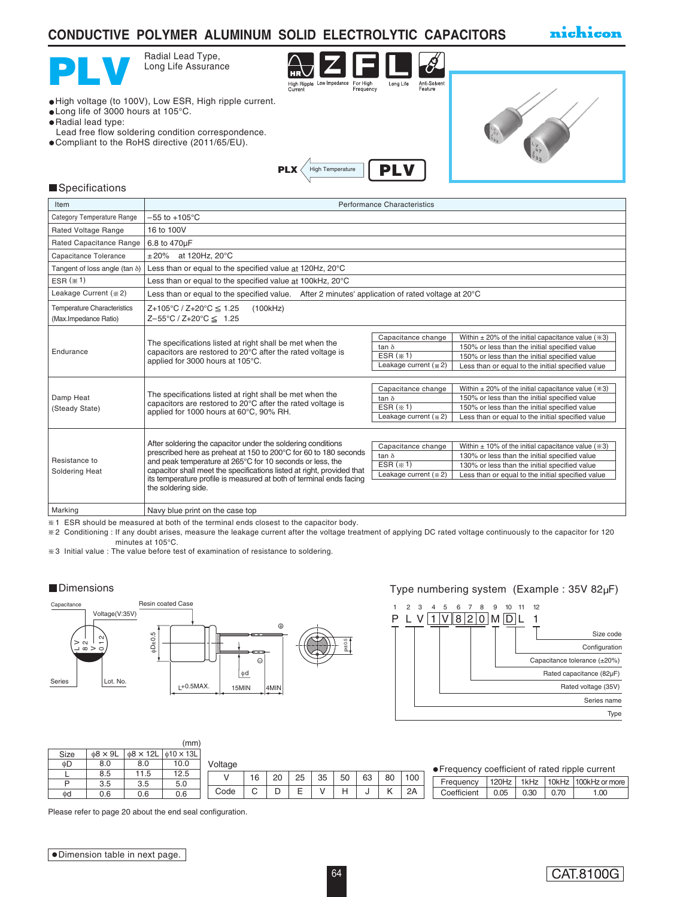# **CONDUCTIVE POLYMER ALUMINUM SOLID ELECTROLYTIC CAPACITORS**

nichicon



Radial Lead Type, Long Life Assurance



High voltage (to 100V), Low ESR, High ripple current.

- Long life of 3000 hours at 105°C.
- Radial lead type:
- Lead free flow soldering condition correspondence.
- Compliant to the RoHS directive (2011/65/EU).





#### **Specifications**

| Item                                                        | <b>Performance Characteristics</b>                                                                                                                                                                                                                                                                                                                                    |                                                                           |                                                                                                                                                                                                                         |  |  |  |  |  |  |  |  |
|-------------------------------------------------------------|-----------------------------------------------------------------------------------------------------------------------------------------------------------------------------------------------------------------------------------------------------------------------------------------------------------------------------------------------------------------------|---------------------------------------------------------------------------|-------------------------------------------------------------------------------------------------------------------------------------------------------------------------------------------------------------------------|--|--|--|--|--|--|--|--|
| Category Temperature Range                                  | $-55$ to $+105^{\circ}$ C                                                                                                                                                                                                                                                                                                                                             |                                                                           |                                                                                                                                                                                                                         |  |  |  |  |  |  |  |  |
| Rated Voltage Range                                         | 16 to 100V                                                                                                                                                                                                                                                                                                                                                            |                                                                           |                                                                                                                                                                                                                         |  |  |  |  |  |  |  |  |
| Rated Capacitance Range                                     | 6.8 to 470µF                                                                                                                                                                                                                                                                                                                                                          |                                                                           |                                                                                                                                                                                                                         |  |  |  |  |  |  |  |  |
| Capacitance Tolerance                                       | $\pm 20\%$ at 120Hz, 20°C                                                                                                                                                                                                                                                                                                                                             |                                                                           |                                                                                                                                                                                                                         |  |  |  |  |  |  |  |  |
| Tangent of loss angle (tan $\delta$ )                       | Less than or equal to the specified value at 120Hz, 20°C                                                                                                                                                                                                                                                                                                              |                                                                           |                                                                                                                                                                                                                         |  |  |  |  |  |  |  |  |
| $ESR$ $(* 1)$                                               | Less than or equal to the specified value at 100kHz, 20°C                                                                                                                                                                                                                                                                                                             |                                                                           |                                                                                                                                                                                                                         |  |  |  |  |  |  |  |  |
| Leakage Current (* 2)                                       | Less than or equal to the specified value. After 2 minutes' application of rated voltage at $20^{\circ}$ C                                                                                                                                                                                                                                                            |                                                                           |                                                                                                                                                                                                                         |  |  |  |  |  |  |  |  |
| <b>Temperature Characteristics</b><br>(Max.Impedance Ratio) | $Z+105^{\circ}C / Z+20^{\circ}C \le 1.25$<br>(100kHz)<br>$Z - 55^{\circ}C / Z + 20^{\circ}C \leq 1.25$                                                                                                                                                                                                                                                                |                                                                           |                                                                                                                                                                                                                         |  |  |  |  |  |  |  |  |
| Endurance                                                   | The specifications listed at right shall be met when the<br>capacitors are restored to 20°C after the rated voltage is<br>applied for 3000 hours at 105°C.                                                                                                                                                                                                            | Capacitance change<br>$tan \delta$<br>ESR $(*1)$<br>Leakage current (* 2) | Within $\pm$ 20% of the initial capacitance value ( $\approx$ 3)<br>150% or less than the initial specified value<br>150% or less than the initial specified value<br>Less than or equal to the initial specified value |  |  |  |  |  |  |  |  |
| Damp Heat<br>(Steady State)                                 | The specifications listed at right shall be met when the<br>capacitors are restored to 20°C after the rated voltage is<br>applied for 1000 hours at 60°C, 90% RH.                                                                                                                                                                                                     | Capacitance change<br>$tan \delta$<br>ESR $(*1)$<br>Leakage current (* 2) | Within $\pm$ 20% of the initial capacitance value ( $\approx$ 3)<br>150% or less than the initial specified value<br>150% or less than the initial specified value<br>Less than or equal to the initial specified value |  |  |  |  |  |  |  |  |
| Resistance to<br>Soldering Heat                             | After soldering the capacitor under the soldering conditions<br>prescribed here as preheat at 150 to 200°C for 60 to 180 seconds<br>and peak temperature at 265°C for 10 seconds or less, the<br>capacitor shall meet the specifications listed at right, provided that<br>its temperature profile is measured at both of terminal ends facing<br>the soldering side. | Capacitance change<br>$tan \delta$<br>ESR $(*1)$<br>Leakage current (* 2) | Within $\pm$ 10% of the initial capacitance value ( $\approx$ 3)<br>130% or less than the initial specified value<br>130% or less than the initial specified value<br>Less than or equal to the initial specified value |  |  |  |  |  |  |  |  |
| Marking                                                     | Navy blue print on the case top                                                                                                                                                                                                                                                                                                                                       |                                                                           |                                                                                                                                                                                                                         |  |  |  |  |  |  |  |  |

1 ESR should be measured at both of the terminal ends closest to the capacitor body.

2 Conditioning : If any doubt arises, measure the leakage current after the voltage treatment of applying DC rated voltage continuously to the capacitor for 120 minutes at 105°C.

3 Initial value : The value before test of examination of resistance to soldering.



### ■Dimensions Type numbering system (Example : 35V 82µF)



|      |                      |       | (mm)                                                     |         |    |    |    |    |    |    |    |     |                                                 |       |      |      |                      |
|------|----------------------|-------|----------------------------------------------------------|---------|----|----|----|----|----|----|----|-----|-------------------------------------------------|-------|------|------|----------------------|
| Size | $\phi$ 8 $\times$ 9L |       | $\vert \phi 8 \times 12L \vert \phi 10 \times 13L \vert$ |         |    |    |    |    |    |    |    |     |                                                 |       |      |      |                      |
| фD   | 8.0                  | 8.0   | 10.0                                                     | Voltage |    |    |    |    |    |    |    |     |                                                 |       |      |      |                      |
|      | 8.5                  | ' 1.5 | 12.5                                                     |         | 16 | 20 | 25 | 35 | 50 | 63 | 80 | 100 | • Frequency coefficient of rated ripple current |       |      |      |                      |
| D    | 3.5                  | 3.5   | 5.0                                                      |         |    |    |    |    |    |    |    |     | Frequency                                       | 120Hz | 1kHz |      | 10kHz 100kHz or more |
| φd   | 0.6                  | 0.6   | 0.6                                                      | Code    |    |    |    |    | н  |    |    | 2A  | Coefficient                                     | 0.05  | 0.30 | 0.70 | 0.00                 |

Please refer to page 20 about the end seal configuration.

CAT.8100G